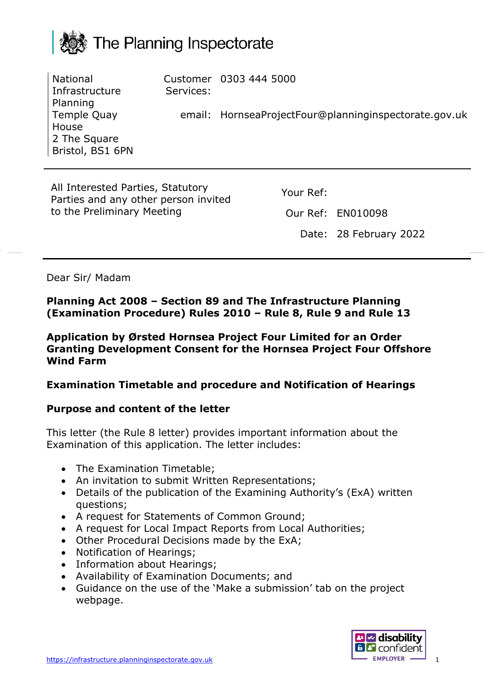

**National** Infrastructure Planning Temple Quay House 2 The Square Bristol, BS1 6PN Customer 0303 444 5000 Services: email: HornseaProjectFour@planninginspectorate.gov.uk

All Interested Parties, Statutory Parties and any other person invited to the Preliminary Meeting

Your Ref:

Our Ref: EN010098

Date: 28 February 2022

Dear Sir/ Madam

**Planning Act 2008 – Section 89 and The Infrastructure Planning (Examination Procedure) Rules 2010 – Rule 8, Rule 9 and Rule 13**

**Application by Ørsted Hornsea Project Four Limited for an Order Granting Development Consent for the Hornsea Project Four Offshore Wind Farm**

#### **Examination Timetable and procedure and Notification of Hearings**

#### **Purpose and content of the letter**

This letter (the Rule 8 letter) provides important information about the Examination of this application. The letter includes:

- The Examination Timetable;
- An invitation to submit Written Representations;
- Details of the publication of the Examining Authority's (ExA) written questions;
- A request for Statements of Common Ground;
- A request for Local Impact Reports from Local Authorities;
- Other Procedural Decisions made by the ExA;
- Notification of Hearings;
- Information about Hearings;
- Availability of Examination Documents; and
- Guidance on the use of the 'Make a submission' tab on the project webpage.

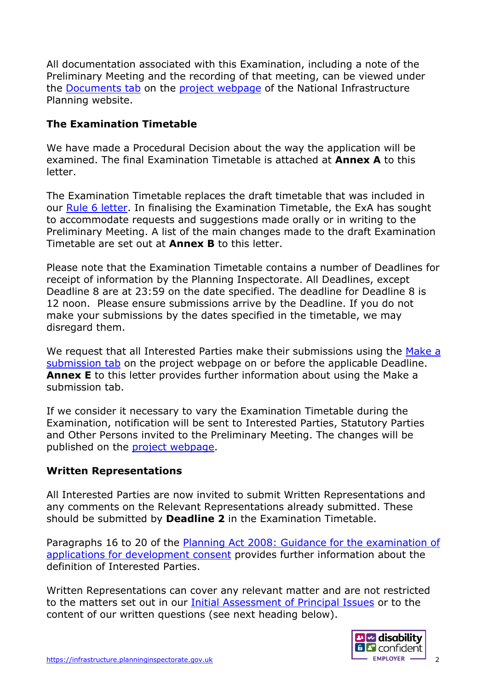All documentation associated with this Examination, including a note of the Preliminary Meeting and the recording of that meeting, can be viewed under the [Documents tab](https://infrastructure.planninginspectorate.gov.uk/projects/yorkshire-and-the-humber/hornsea-project-four-offshore-wind-farm/?ipcsection=docs) on the [project webpage](https://infrastructure.planninginspectorate.gov.uk/projects/yorkshire-and-the-humber/hornsea-project-four-offshore-wind-farm/) of the National Infrastructure Planning website.

# **The Examination Timetable**

We have made a Procedural Decision about the way the application will be examined. The final Examination Timetable is attached at **Annex A** to this letter.

The Examination Timetable replaces the draft timetable that was included in our [Rule 6 letter.](https://infrastructure.planninginspectorate.gov.uk/wp-content/ipc/uploads/projects/EN010098/EN010098-000901-Hornsea%204%20Rule%206%20letter.pdf#page=19) In finalising the Examination Timetable, the ExA has sought to accommodate requests and suggestions made orally or in writing to the Preliminary Meeting. A list of the main changes made to the draft Examination Timetable are set out at **Annex B** to this letter.

Please note that the Examination Timetable contains a number of Deadlines for receipt of information by the Planning Inspectorate. All Deadlines, except Deadline 8 are at 23:59 on the date specified. The deadline for Deadline 8 is 12 noon. Please ensure submissions arrive by the Deadline. If you do not make your submissions by the dates specified in the timetable, we may disregard them.

We request that all Interested Parties make their submissions using the Make a [submission tab](https://infrastructure.planninginspectorate.gov.uk/projects/yorkshire-and-the-humber/hornsea-project-four-offshore-wind-farm/?ipcsection=submission) on the project webpage on or before the applicable Deadline. **Annex E** to this letter provides further information about using the Make a submission tab.

If we consider it necessary to vary the Examination Timetable during the Examination, notification will be sent to Interested Parties, Statutory Parties and Other Persons invited to the Preliminary Meeting. The changes will be published on the [project webpage.](https://infrastructure.planninginspectorate.gov.uk/projects/yorkshire-and-the-humber/hornsea-project-four-offshore-wind-farm/)

# **Written Representations**

All Interested Parties are now invited to submit Written Representations and any comments on the Relevant Representations already submitted. These should be submitted by **Deadline 2** in the Examination Timetable.

Paragraphs 16 to 20 of the [Planning Act 2008: Guidance for the examination of](https://assets.publishing.service.gov.uk/government/uploads/system/uploads/attachment_data/file/418015/examinations_guidance-__final_for_publication.pdf)  [applications for development consent](https://assets.publishing.service.gov.uk/government/uploads/system/uploads/attachment_data/file/418015/examinations_guidance-__final_for_publication.pdf) provides further information about the definition of Interested Parties.

Written Representations can cover any relevant matter and are not restricted to the matters set out in our [Initial Assessment of Principal Issues](https://infrastructure.planninginspectorate.gov.uk/wp-content/ipc/uploads/projects/EN010098/EN010098-000901-Hornsea%204%20Rule%206%20letter.pdf#page=15) or to the content of our written questions (see next heading below).

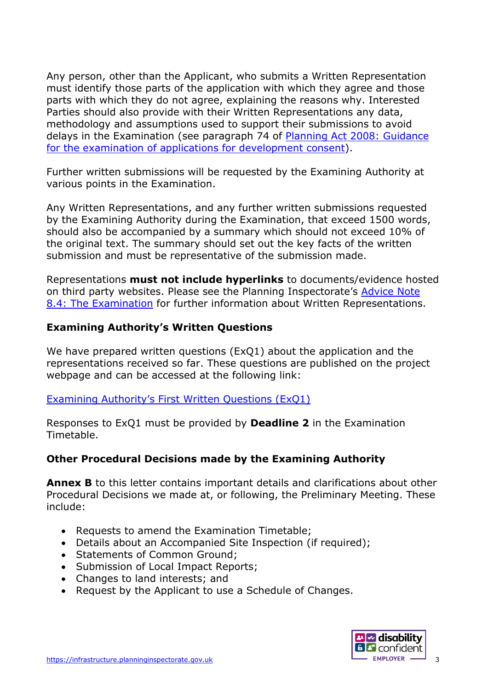Any person, other than the Applicant, who submits a Written Representation must identify those parts of the application with which they agree and those parts with which they do not agree, explaining the reasons why. Interested Parties should also provide with their Written Representations any data, methodology and assumptions used to support their submissions to avoid delays in the Examination (see paragraph 74 of [Planning Act 2008: Guidance](https://www.gov.uk/government/publications/planning-act-2008-examination-of-applications-for-development-consent)  [for the examination of applications for development consent\)](https://www.gov.uk/government/publications/planning-act-2008-examination-of-applications-for-development-consent).

Further written submissions will be requested by the Examining Authority at various points in the Examination.

Any Written Representations, and any further written submissions requested by the Examining Authority during the Examination, that exceed 1500 words, should also be accompanied by a summary which should not exceed 10% of the original text. The summary should set out the key facts of the written submission and must be representative of the submission made.

Representations **must not include hyperlinks** to documents/evidence hosted on third party websites. Please see the Planning Inspectorate's [Advice Note](https://infrastructure.planninginspectorate.gov.uk/legislation-and-advice/advice-notes/advice-note-8-4-the-examination/)  [8.4: The Examination](https://infrastructure.planninginspectorate.gov.uk/legislation-and-advice/advice-notes/advice-note-8-4-the-examination/) for further information about Written Representations.

# **Examining Authority's Written Questions**

We have prepared written questions (ExQ1) about the application and the representations received so far. These questions are published on the project webpage and can be accessed at the following link:

[Examining Authority's First Written Questions \(ExQ1\)](https://infrastructure.planninginspectorate.gov.uk/wp-content/ipc/uploads/projects/EN010098/EN010098-000968-ExQ1%20with%20link_Hornsea%20Four.pdf)

Responses to ExQ1 must be provided by **Deadline 2** in the Examination Timetable.

# **Other Procedural Decisions made by the Examining Authority**

**Annex B** to this letter contains important details and clarifications about other Procedural Decisions we made at, or following, the Preliminary Meeting. These include:

- Requests to amend the Examination Timetable;
- Details about an Accompanied Site Inspection (if required):
- Statements of Common Ground;
- Submission of Local Impact Reports;
- Changes to land interests; and
- Request by the Applicant to use a Schedule of Changes.

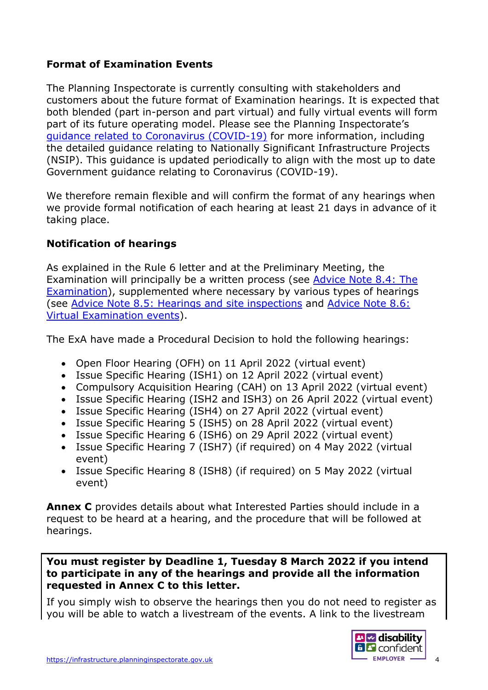# **Format of Examination Events**

The Planning Inspectorate is currently consulting with stakeholders and customers about the future format of Examination hearings. It is expected that both blended (part in-person and part virtual) and fully virtual events will form part of its future operating model. Please see the Planning Inspectorate's [guidance related to Coronavirus \(COVID-19\)](https://www.gov.uk/guidance/coronavirus-covid-19-planning-inspectorate-guidance) for more information, including the detailed guidance relating to Nationally Significant Infrastructure Projects (NSIP). This guidance is updated periodically to align with the most up to date Government guidance relating to Coronavirus (COVID-19).

We therefore remain flexible and will confirm the format of any hearings when we provide formal notification of each hearing at least 21 days in advance of it taking place.

# **Notification of hearings**

As explained in the Rule 6 letter and at the Preliminary Meeting, the Examination will principally be a written process (see [Advice Note 8.4: The](https://infrastructure.planninginspectorate.gov.uk/legislation-and-advice/advice-notes/advice-note-8-4-the-examination/)  [Examination\)](https://infrastructure.planninginspectorate.gov.uk/legislation-and-advice/advice-notes/advice-note-8-4-the-examination/), supplemented where necessary by various types of hearings (see Advice [Note 8.5: Hearings and site inspections](https://infrastructure.planninginspectorate.gov.uk/legislation-and-advice/advice-notes/advice-note-8-5-the-examination-hearings-and-site-inspections/) and [Advice Note 8.6:](https://infrastructure.planninginspectorate.gov.uk/legislation-and-advice/advice-notes/advice-note-8-6-virtual-examination-events/)  [Virtual Examination events\)](https://infrastructure.planninginspectorate.gov.uk/legislation-and-advice/advice-notes/advice-note-8-6-virtual-examination-events/).

The ExA have made a Procedural Decision to hold the following hearings:

- Open Floor Hearing (OFH) on 11 April 2022 (virtual event)
- Issue Specific Hearing (ISH1) on 12 April 2022 (virtual event)
- Compulsory Acquisition Hearing (CAH) on 13 April 2022 (virtual event)
- Issue Specific Hearing (ISH2 and ISH3) on 26 April 2022 (virtual event)
- Issue Specific Hearing (ISH4) on 27 April 2022 (virtual event)
- Issue Specific Hearing 5 (ISH5) on 28 April 2022 (virtual event)
- Issue Specific Hearing 6 (ISH6) on 29 April 2022 (virtual event)
- Issue Specific Hearing 7 (ISH7) (if required) on 4 May 2022 (virtual event)
- Issue Specific Hearing 8 (ISH8) (if required) on 5 May 2022 (virtual event)

**Annex C** provides details about what Interested Parties should include in a request to be heard at a hearing, and the procedure that will be followed at hearings.

**You must register by Deadline 1, Tuesday 8 March 2022 if you intend to participate in any of the hearings and provide all the information requested in Annex C to this letter.**

If you simply wish to observe the hearings then you do not need to register as you will be able to watch a livestream of the events. A link to the livestream

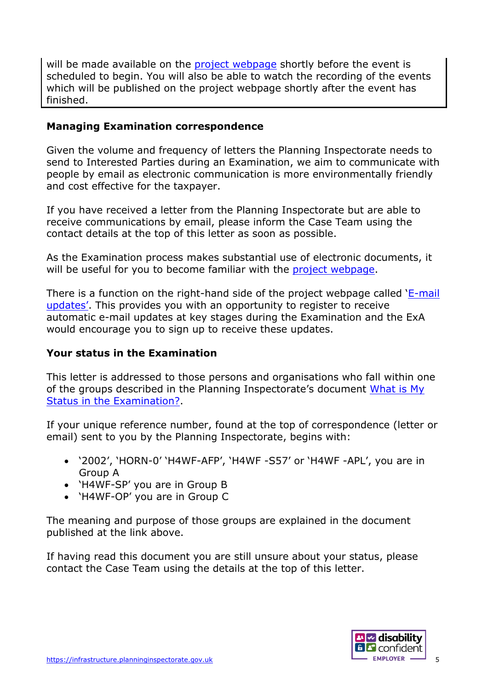will be made available on the [project webpage](https://infrastructure.planninginspectorate.gov.uk/projects/yorkshire-and-the-humber/hornsea-project-four-offshore-wind-farm/) shortly before the event is scheduled to begin. You will also be able to watch the recording of the events which will be published on the project webpage shortly after the event has finished.

### **Managing Examination correspondence**

Given the volume and frequency of letters the Planning Inspectorate needs to send to Interested Parties during an Examination, we aim to communicate with people by email as electronic communication is more environmentally friendly and cost effective for the taxpayer.

If you have received a letter from the Planning Inspectorate but are able to receive communications by email, please inform the Case Team using the contact details at the top of this letter as soon as possible.

As the Examination process makes substantial use of electronic documents, it will be useful for you to become familiar with the [project webpage.](https://infrastructure.planninginspectorate.gov.uk/projects/yorkshire-and-the-humber/hornsea-project-four-offshore-wind-farm/)

There is a function on the right-hand side of the project webpage called ['E-mail](https://infrastructure.planninginspectorate.gov.uk/projects/yorkshire-and-the-humber/hornsea-project-four-offshore-wind-farm/)  [updates'.](https://infrastructure.planninginspectorate.gov.uk/projects/yorkshire-and-the-humber/hornsea-project-four-offshore-wind-farm/) This provides you with an opportunity to register to receive automatic e-mail updates at key stages during the Examination and the ExA would encourage you to sign up to receive these updates.

# **Your status in the Examination**

This letter is addressed to those persons and organisations who fall within one of the groups described in the Planning Inspectorate's document [What is My](https://infrastructure.planninginspectorate.gov.uk/application-process/frequently-asked-questions/status-in-examination-faq/)  [Status in the Examination?.](https://infrastructure.planninginspectorate.gov.uk/application-process/frequently-asked-questions/status-in-examination-faq/)

If your unique reference number, found at the top of correspondence (letter or email) sent to you by the Planning Inspectorate, begins with:

- '2002', 'HORN-0' 'H4WF-AFP', 'H4WF -S57' or 'H4WF -APL', you are in Group A
- 'H4WF-SP' you are in Group B
- 'H4WF-OP' you are in Group C

The meaning and purpose of those groups are explained in the document published at the link above.

If having read this document you are still unsure about your status, please contact the Case Team using the details at the top of this letter.

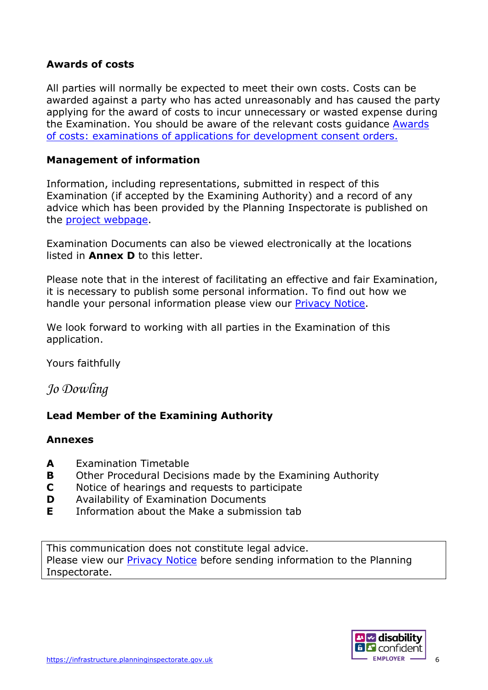#### **Awards of costs**

All parties will normally be expected to meet their own costs. Costs can be awarded against a party who has acted unreasonably and has caused the party applying for the award of costs to incur unnecessary or wasted expense during the Examination. You should be aware of the relevant costs guidance [Awards](https://www.gov.uk/government/publications/awards-of-costs-examinations-of-applications-for-development-consent-orders)  of costs: [examinations of applications for development consent orders.](https://www.gov.uk/government/publications/awards-of-costs-examinations-of-applications-for-development-consent-orders)

#### **Management of information**

Information, including representations, submitted in respect of this Examination (if accepted by the Examining Authority) and a record of any advice which has been provided by the Planning Inspectorate is published on the [project webpage.](https://infrastructure.planninginspectorate.gov.uk/projects/yorkshire-and-the-humber/hornsea-project-four-offshore-wind-farm/)

Examination Documents can also be viewed electronically at the locations listed in **Annex D** to this letter.

Please note that in the interest of facilitating an effective and fair Examination, it is necessary to publish some personal information. To find out how we handle your personal information please view our [Privacy Notice.](https://www.gov.uk/government/publications/planning-inspectorate-privacy-notices/customer-privacy-notice)

We look forward to working with all parties in the Examination of this application.

Yours faithfully

*Jo Dowling*

# **Lead Member of the Examining Authority**

#### **Annexes**

- **A** Examination Timetable
- **B** Other Procedural Decisions made by the Examining Authority
- **C** Notice of hearings and requests to participate
- **D** Availability of Examination Documents
- **E** Information about the Make a submission tab

This communication does not constitute legal advice. Please view our [Privacy Notice](https://www.gov.uk/government/publications/planning-inspectorate-privacy-notices/customer-privacy-notice) before sending information to the Planning Inspectorate.

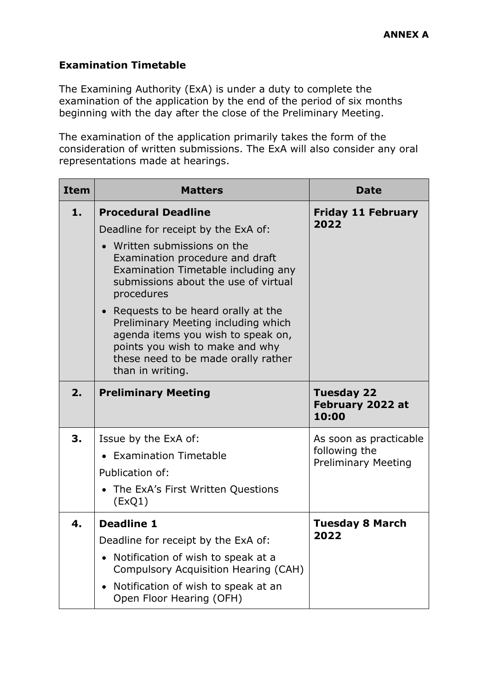# **Examination Timetable**

The Examining Authority (ExA) is under a duty to complete the examination of the application by the end of the period of six months beginning with the day after the close of the Preliminary Meeting.

The examination of the application primarily takes the form of the consideration of written submissions. The ExA will also consider any oral representations made at hearings.

| <b>Item</b> | <b>Matters</b>                                                                                                                                                                                                  | <b>Date</b>                                    |
|-------------|-----------------------------------------------------------------------------------------------------------------------------------------------------------------------------------------------------------------|------------------------------------------------|
| 1.          | <b>Procedural Deadline</b>                                                                                                                                                                                      | <b>Friday 11 February</b>                      |
|             | Deadline for receipt by the ExA of:                                                                                                                                                                             | 2022                                           |
|             | • Written submissions on the<br>Examination procedure and draft<br>Examination Timetable including any<br>submissions about the use of virtual<br>procedures                                                    |                                                |
|             | • Requests to be heard orally at the<br>Preliminary Meeting including which<br>agenda items you wish to speak on,<br>points you wish to make and why<br>these need to be made orally rather<br>than in writing. |                                                |
| 2.          | <b>Preliminary Meeting</b>                                                                                                                                                                                      | <b>Tuesday 22</b><br>February 2022 at<br>10:00 |
| 3.          | Issue by the ExA of:                                                                                                                                                                                            | As soon as practicable                         |
|             | • Examination Timetable                                                                                                                                                                                         | following the<br><b>Preliminary Meeting</b>    |
|             | Publication of:                                                                                                                                                                                                 |                                                |
|             | • The ExA's First Written Questions<br>(EXQ1)                                                                                                                                                                   |                                                |
| 4.          | <b>Deadline 1</b>                                                                                                                                                                                               | <b>Tuesday 8 March</b>                         |
|             | Deadline for receipt by the ExA of:                                                                                                                                                                             | 2022                                           |
|             | • Notification of wish to speak at a<br>Compulsory Acquisition Hearing (CAH)                                                                                                                                    |                                                |
|             | Notification of wish to speak at an<br>Open Floor Hearing (OFH)                                                                                                                                                 |                                                |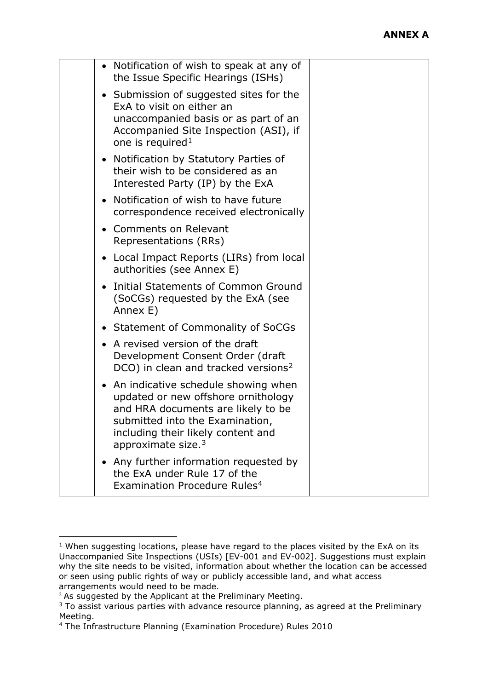|           | • Notification of wish to speak at any of<br>the Issue Specific Hearings (ISHs)                                                                                                                                            |  |  |
|-----------|----------------------------------------------------------------------------------------------------------------------------------------------------------------------------------------------------------------------------|--|--|
|           | • Submission of suggested sites for the<br>ExA to visit on either an<br>unaccompanied basis or as part of an<br>Accompanied Site Inspection (ASI), if<br>one is required <sup>1</sup>                                      |  |  |
|           | • Notification by Statutory Parties of<br>their wish to be considered as an<br>Interested Party (IP) by the ExA                                                                                                            |  |  |
|           | Notification of wish to have future<br>correspondence received electronically                                                                                                                                              |  |  |
|           | • Comments on Relevant<br>Representations (RRs)                                                                                                                                                                            |  |  |
|           | Local Impact Reports (LIRs) from local<br>authorities (see Annex E)                                                                                                                                                        |  |  |
|           | Initial Statements of Common Ground<br>(SoCGs) requested by the ExA (see<br>Annex E)                                                                                                                                       |  |  |
|           | <b>Statement of Commonality of SoCGs</b>                                                                                                                                                                                   |  |  |
|           | A revised version of the draft<br>Development Consent Order (draft<br>DCO) in clean and tracked versions <sup>2</sup>                                                                                                      |  |  |
| $\bullet$ | An indicative schedule showing when<br>updated or new offshore ornithology<br>and HRA documents are likely to be<br>submitted into the Examination<br>including their likely content and<br>approximate size. <sup>3</sup> |  |  |
|           | Any further information requested by<br>the ExA under Rule 17 of the<br>Examination Procedure Rules <sup>4</sup>                                                                                                           |  |  |

<span id="page-7-0"></span> $1$  When suggesting locations, please have regard to the places visited by the ExA on its Unaccompanied Site Inspections (USIs) [EV-001 and EV-002]. Suggestions must explain why the site needs to be visited, information about whether the location can be accessed or seen using public rights of way or publicly accessible land, and what access arrangements would need to be made.

<span id="page-7-1"></span> $2$  As suggested by the Applicant at the Preliminary Meeting.

<span id="page-7-2"></span><sup>&</sup>lt;sup>3</sup> To assist various parties with advance resource planning, as agreed at the Preliminary Meeting.

<span id="page-7-3"></span><sup>4</sup> The Infrastructure Planning (Examination Procedure) Rules 2010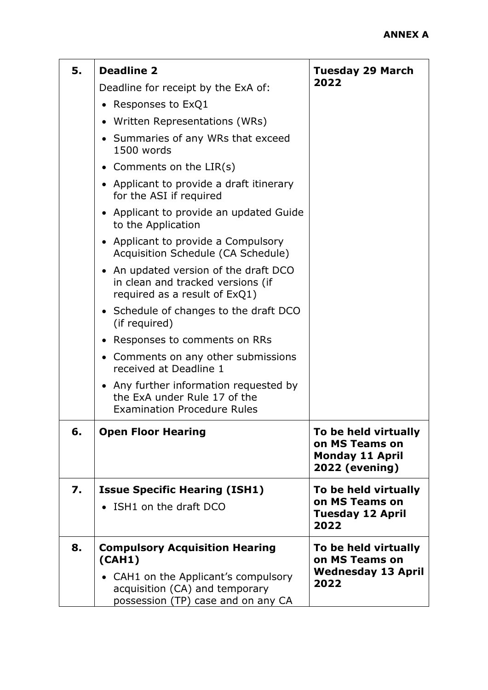| 5. | <b>Deadline 2</b>                                                                                            | <b>Tuesday 29 March</b>                                                                   |
|----|--------------------------------------------------------------------------------------------------------------|-------------------------------------------------------------------------------------------|
|    | Deadline for receipt by the ExA of:                                                                          | 2022                                                                                      |
|    | Responses to ExQ1                                                                                            |                                                                                           |
|    | • Written Representations (WRs)                                                                              |                                                                                           |
|    | • Summaries of any WRs that exceed<br>1500 words                                                             |                                                                                           |
|    | • Comments on the $LIR(s)$                                                                                   |                                                                                           |
|    | • Applicant to provide a draft itinerary<br>for the ASI if required                                          |                                                                                           |
|    | • Applicant to provide an updated Guide<br>to the Application                                                |                                                                                           |
|    | • Applicant to provide a Compulsory<br>Acquisition Schedule (CA Schedule)                                    |                                                                                           |
|    | • An updated version of the draft DCO<br>in clean and tracked versions (if<br>required as a result of ExQ1)  |                                                                                           |
|    | • Schedule of changes to the draft DCO<br>(if required)                                                      |                                                                                           |
|    | • Responses to comments on RRs                                                                               |                                                                                           |
|    | • Comments on any other submissions<br>received at Deadline 1                                                |                                                                                           |
|    | • Any further information requested by<br>the ExA under Rule 17 of the<br><b>Examination Procedure Rules</b> |                                                                                           |
| 6. | <b>Open Floor Hearing</b>                                                                                    | To be held virtually<br>on MS Teams on<br><b>Monday 11 April</b><br><b>2022 (evening)</b> |
| 7. | <b>Issue Specific Hearing (ISH1)</b>                                                                         | To be held virtually                                                                      |
|    | • ISH1 on the draft DCO                                                                                      | on MS Teams on<br><b>Tuesday 12 April</b><br>2022                                         |
| 8. | <b>Compulsory Acquisition Hearing</b><br>(CAH1)                                                              | To be held virtually<br>on MS Teams on                                                    |
|    | • CAH1 on the Applicant's compulsory<br>acquisition (CA) and temporary<br>possession (TP) case and on any CA | <b>Wednesday 13 April</b><br>2022                                                         |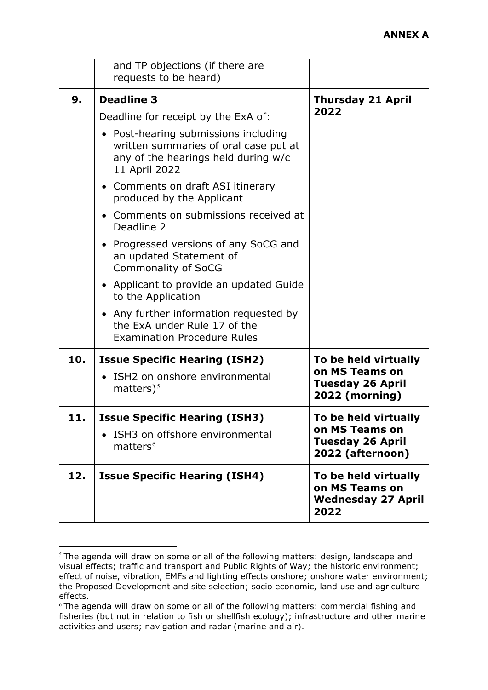|     | and TP objections (if there are<br>requests to be heard)                                                                              |                                                                             |
|-----|---------------------------------------------------------------------------------------------------------------------------------------|-----------------------------------------------------------------------------|
| 9.  | <b>Deadline 3</b><br>Deadline for receipt by the ExA of:                                                                              | <b>Thursday 21 April</b><br>2022                                            |
|     | • Post-hearing submissions including<br>written summaries of oral case put at<br>any of the hearings held during w/c<br>11 April 2022 |                                                                             |
|     | • Comments on draft ASI itinerary<br>produced by the Applicant                                                                        |                                                                             |
|     | • Comments on submissions received at<br>Deadline 2                                                                                   |                                                                             |
|     | • Progressed versions of any SoCG and<br>an updated Statement of<br><b>Commonality of SoCG</b>                                        |                                                                             |
|     | • Applicant to provide an updated Guide<br>to the Application                                                                         |                                                                             |
|     | • Any further information requested by<br>the ExA under Rule 17 of the<br><b>Examination Procedure Rules</b>                          |                                                                             |
| 10. | <b>Issue Specific Hearing (ISH2)</b>                                                                                                  | To be held virtually<br>on MS Teams on                                      |
|     | ISH2 on onshore environmental<br>matters $)^5$                                                                                        | <b>Tuesday 26 April</b><br><b>2022 (morning)</b>                            |
| 11. | <b>Issue Specific Hearing (ISH3)</b>                                                                                                  | To be held virtually                                                        |
|     | ISH3 on offshore environmental<br>matters <sup>6</sup>                                                                                | on MS Teams on<br><b>Tuesday 26 April</b><br>2022 (afternoon)               |
| 12. | <b>Issue Specific Hearing (ISH4)</b>                                                                                                  | To be held virtually<br>on MS Teams on<br><b>Wednesday 27 April</b><br>2022 |

<span id="page-9-0"></span><sup>&</sup>lt;sup>5</sup> The agenda will draw on some or all of the following matters: design, landscape and visual effects; traffic and transport and Public Rights of Way; the historic environment; effect of noise, vibration, EMFs and lighting effects onshore; onshore water environment; the Proposed Development and site selection; socio economic, land use and agriculture effects.

<span id="page-9-1"></span><sup>&</sup>lt;sup>6</sup> The agenda will draw on some or all of the following matters: commercial fishing and fisheries (but not in relation to fish or shellfish ecology); infrastructure and other marine activities and users; navigation and radar (marine and air).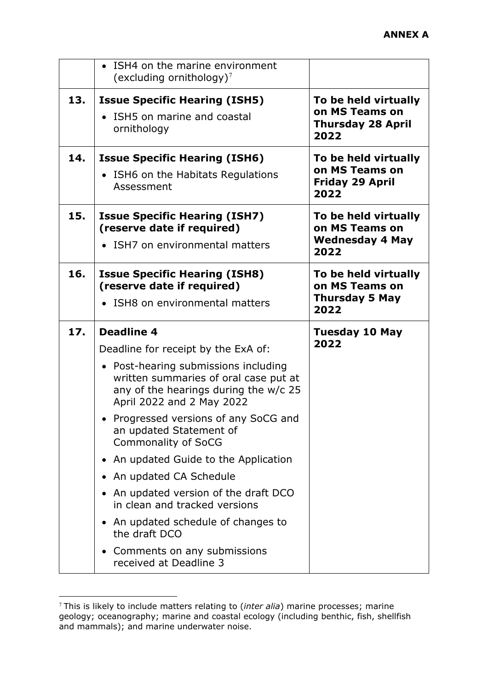|     | • ISH4 on the marine environment<br>(excluding ornithology) <sup>7</sup>                                                                                                                                                                                                                                                                                                                                                                                                                                                                                                                       |                                                                            |
|-----|------------------------------------------------------------------------------------------------------------------------------------------------------------------------------------------------------------------------------------------------------------------------------------------------------------------------------------------------------------------------------------------------------------------------------------------------------------------------------------------------------------------------------------------------------------------------------------------------|----------------------------------------------------------------------------|
| 13. | <b>Issue Specific Hearing (ISH5)</b><br>• ISH5 on marine and coastal<br>ornithology                                                                                                                                                                                                                                                                                                                                                                                                                                                                                                            | To be held virtually<br>on MS Teams on<br><b>Thursday 28 April</b><br>2022 |
| 14. | <b>Issue Specific Hearing (ISH6)</b><br>• ISH6 on the Habitats Regulations<br>Assessment                                                                                                                                                                                                                                                                                                                                                                                                                                                                                                       | To be held virtually<br>on MS Teams on<br><b>Friday 29 April</b><br>2022   |
| 15. | <b>Issue Specific Hearing (ISH7)</b><br>(reserve date if required)<br>• ISH7 on environmental matters                                                                                                                                                                                                                                                                                                                                                                                                                                                                                          | To be held virtually<br>on MS Teams on<br>Wednesday 4 May<br>2022          |
| 16. | <b>Issue Specific Hearing (ISH8)</b><br>(reserve date if required)<br>• ISH8 on environmental matters                                                                                                                                                                                                                                                                                                                                                                                                                                                                                          | To be held virtually<br>on MS Teams on<br><b>Thursday 5 May</b><br>2022    |
| 17. | <b>Deadline 4</b><br>Deadline for receipt by the ExA of:<br>• Post-hearing submissions including<br>written summaries of oral case put at<br>any of the hearings during the w/c 25<br>April 2022 and 2 May 2022<br>• Progressed versions of any SoCG and<br>an updated Statement of<br><b>Commonality of SoCG</b><br>• An updated Guide to the Application<br>• An updated CA Schedule<br>An updated version of the draft DCO<br>$\bullet$<br>in clean and tracked versions<br>• An updated schedule of changes to<br>the draft DCO<br>• Comments on any submissions<br>received at Deadline 3 | <b>Tuesday 10 May</b><br>2022                                              |

<span id="page-10-0"></span><sup>7</sup> This is likely to include matters relating to (*inter alia*) marine processes; marine geology; oceanography; marine and coastal ecology (including benthic, fish, shellfish and mammals); and marine underwater noise.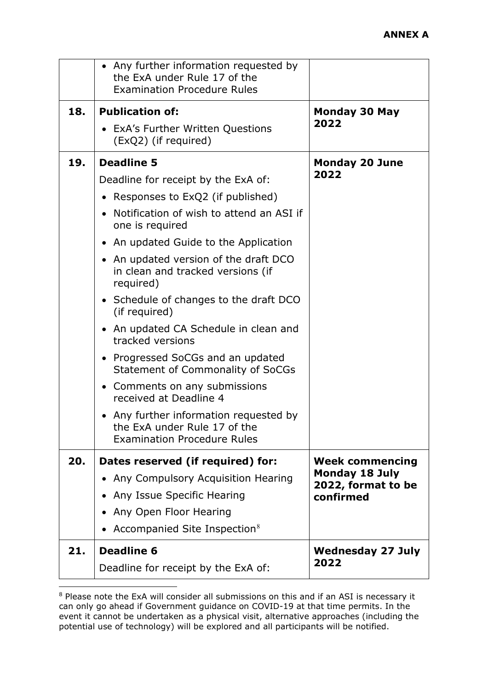|     | • Any further information requested by<br>the ExA under Rule 17 of the<br><b>Examination Procedure Rules</b> |                                             |
|-----|--------------------------------------------------------------------------------------------------------------|---------------------------------------------|
| 18. | <b>Publication of:</b>                                                                                       | <b>Monday 30 May</b><br>2022                |
|     | • ExA's Further Written Questions<br>(ExQ2) (if required)                                                    |                                             |
| 19. | <b>Deadline 5</b>                                                                                            | <b>Monday 20 June</b>                       |
|     | Deadline for receipt by the ExA of:                                                                          | 2022                                        |
|     | Responses to ExQ2 (if published)                                                                             |                                             |
|     | Notification of wish to attend an ASI if<br>one is required                                                  |                                             |
|     | • An updated Guide to the Application                                                                        |                                             |
|     | • An updated version of the draft DCO<br>in clean and tracked versions (if<br>required)                      |                                             |
|     | • Schedule of changes to the draft DCO<br>(if required)                                                      |                                             |
|     | • An updated CA Schedule in clean and<br>tracked versions                                                    |                                             |
|     | • Progressed SoCGs and an updated<br>Statement of Commonality of SoCGs                                       |                                             |
|     | Comments on any submissions<br>received at Deadline 4                                                        |                                             |
|     | • Any further information requested by<br>the ExA under Rule 17 of the<br><b>Examination Procedure Rules</b> |                                             |
| 20. | Dates reserved (if required) for:                                                                            | <b>Week commencing</b>                      |
|     | Any Compulsory Acquisition Hearing                                                                           | <b>Monday 18 July</b><br>2022, format to be |
|     | • Any Issue Specific Hearing                                                                                 | confirmed                                   |
|     | Any Open Floor Hearing                                                                                       |                                             |
|     | Accompanied Site Inspection <sup>8</sup>                                                                     |                                             |
| 21. | <b>Deadline 6</b>                                                                                            | <b>Wednesday 27 July</b>                    |
|     | Deadline for receipt by the ExA of:                                                                          | 2022                                        |

<span id="page-11-0"></span><sup>8</sup> Please note the ExA will consider all submissions on this and if an ASI is necessary it can only go ahead if Government guidance on COVID-19 at that time permits. In the event it cannot be undertaken as a physical visit, alternative approaches (including the potential use of technology) will be explored and all participants will be notified.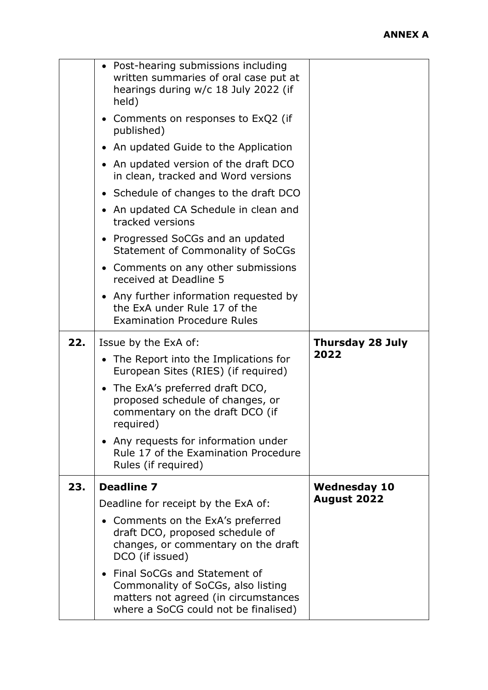|     | • Post-hearing submissions including<br>written summaries of oral case put at<br>hearings during w/c 18 July 2022 (if<br>held)                       |                         |
|-----|------------------------------------------------------------------------------------------------------------------------------------------------------|-------------------------|
|     | • Comments on responses to ExQ2 (if<br>published)                                                                                                    |                         |
|     | • An updated Guide to the Application                                                                                                                |                         |
|     | • An updated version of the draft DCO<br>in clean, tracked and Word versions                                                                         |                         |
|     | • Schedule of changes to the draft DCO                                                                                                               |                         |
|     | An updated CA Schedule in clean and<br>tracked versions                                                                                              |                         |
|     | • Progressed SoCGs and an updated<br>Statement of Commonality of SoCGs                                                                               |                         |
|     | • Comments on any other submissions<br>received at Deadline 5                                                                                        |                         |
|     | • Any further information requested by<br>the ExA under Rule 17 of the<br><b>Examination Procedure Rules</b>                                         |                         |
| 22. | Issue by the ExA of:                                                                                                                                 | <b>Thursday 28 July</b> |
|     | • The Report into the Implications for<br>European Sites (RIES) (if required)                                                                        | 2022                    |
|     | • The ExA's preferred draft DCO,<br>proposed schedule of changes, or<br>commentary on the draft DCO (if<br>required)                                 |                         |
|     | Any requests for information under<br>Rule 17 of the Examination Procedure<br>Rules (if required)                                                    |                         |
| 23. | <b>Deadline 7</b>                                                                                                                                    | <b>Wednesday 10</b>     |
|     | Deadline for receipt by the ExA of:                                                                                                                  | <b>August 2022</b>      |
|     | Comments on the ExA's preferred<br>draft DCO, proposed schedule of<br>changes, or commentary on the draft<br>DCO (if issued)                         |                         |
|     | • Final SoCGs and Statement of<br>Commonality of SoCGs, also listing<br>matters not agreed (in circumstances<br>where a SoCG could not be finalised) |                         |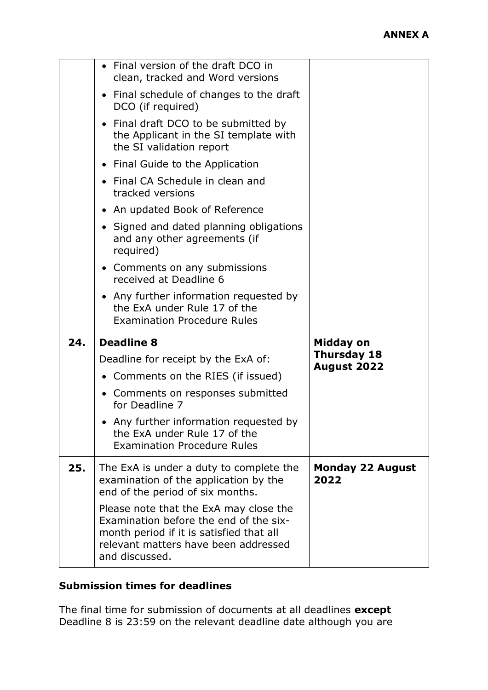|     | • Final version of the draft DCO in<br>clean, tracked and Word versions                                              |                                 |
|-----|----------------------------------------------------------------------------------------------------------------------|---------------------------------|
|     | • Final schedule of changes to the draft<br>DCO (if required)                                                        |                                 |
|     | • Final draft DCO to be submitted by<br>the Applicant in the SI template with<br>the SI validation report            |                                 |
|     | • Final Guide to the Application                                                                                     |                                 |
|     | Final CA Schedule in clean and<br>tracked versions                                                                   |                                 |
|     | • An updated Book of Reference                                                                                       |                                 |
|     | Signed and dated planning obligations<br>and any other agreements (if<br>required)                                   |                                 |
|     | • Comments on any submissions<br>received at Deadline 6                                                              |                                 |
|     | Any further information requested by<br>the ExA under Rule 17 of the                                                 |                                 |
|     | <b>Examination Procedure Rules</b>                                                                                   |                                 |
| 24. | <b>Deadline 8</b>                                                                                                    | Midday on                       |
|     | Deadline for receipt by the ExA of:                                                                                  | <b>Thursday 18</b>              |
|     | • Comments on the RIES (if issued)                                                                                   | <b>August 2022</b>              |
|     | Comments on responses submitted<br>for Deadline 7                                                                    |                                 |
|     | Any further information requested by<br>the ExA under Rule 17 of the<br><b>Examination Procedure Rules</b>           |                                 |
| 25. | The ExA is under a duty to complete the<br>examination of the application by the<br>end of the period of six months. | <b>Monday 22 August</b><br>2022 |

# **Submission times for deadlines**

The final time for submission of documents at all deadlines **except** Deadline 8 is 23:59 on the relevant deadline date although you are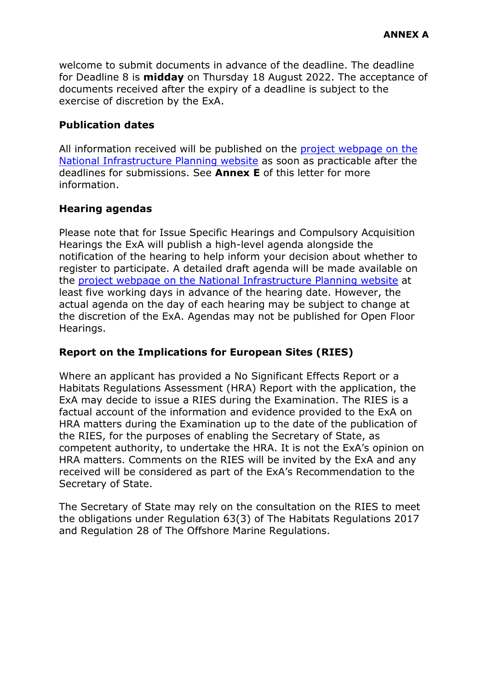welcome to submit documents in advance of the deadline. The deadline for Deadline 8 is **midday** on Thursday 18 August 2022. The acceptance of documents received after the expiry of a deadline is subject to the exercise of discretion by the ExA.

#### **Publication dates**

All information received will be published on the [project webpage on the](https://infrastructure.planninginspectorate.gov.uk/projects/yorkshire-and-the-humber/hornsea-project-four-offshore-wind-farm/)  [National Infrastructure Planning website](https://infrastructure.planninginspectorate.gov.uk/projects/yorkshire-and-the-humber/hornsea-project-four-offshore-wind-farm/) as soon as practicable after the deadlines for submissions. See **Annex E** of this letter for more information.

### **Hearing agendas**

Please note that for Issue Specific Hearings and Compulsory Acquisition Hearings the ExA will publish a high-level agenda alongside the notification of the hearing to help inform your decision about whether to register to participate. A detailed draft agenda will be made available on the [project webpage on the National Infrastructure Planning website](https://infrastructure.planninginspectorate.gov.uk/projects/yorkshire-and-the-humber/hornsea-project-four-offshore-wind-farm/) at least five working days in advance of the hearing date. However, the actual agenda on the day of each hearing may be subject to change at the discretion of the ExA. Agendas may not be published for Open Floor Hearings.

#### **Report on the Implications for European Sites (RIES)**

Where an applicant has provided a No Significant Effects Report or a Habitats Regulations Assessment (HRA) Report with the application, the ExA may decide to issue a RIES during the Examination. The RIES is a factual account of the information and evidence provided to the ExA on HRA matters during the Examination up to the date of the publication of the RIES, for the purposes of enabling the Secretary of State, as competent authority, to undertake the HRA. It is not the ExA's opinion on HRA matters. Comments on the RIES will be invited by the ExA and any received will be considered as part of the ExA's Recommendation to the Secretary of State.

The Secretary of State may rely on the consultation on the RIES to meet the obligations under Regulation 63(3) of The Habitats Regulations 2017 and Regulation 28 of The Offshore Marine Regulations.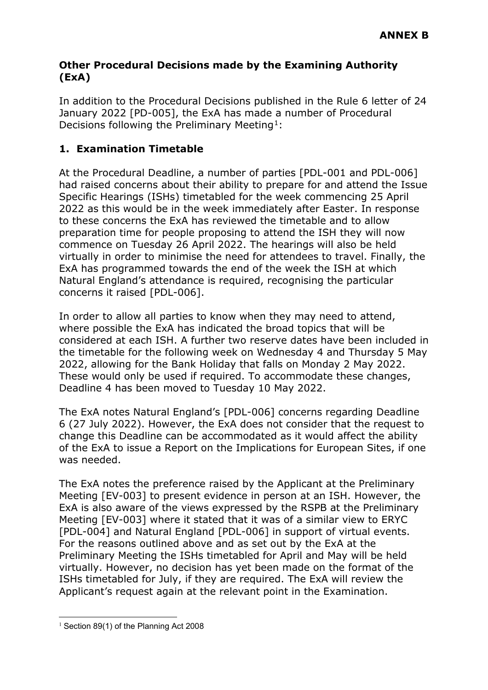#### **Other Procedural Decisions made by the Examining Authority (ExA)**

In addition to the Procedural Decisions published in the Rule 6 letter of 24 January 2022 [PD-005], the ExA has made a number of Procedural Decisions following the Preliminary Meeting<sup>1</sup>:

# **1. Examination Timetable**

At the Procedural Deadline, a number of parties [PDL-001 and PDL-006] had raised concerns about their ability to prepare for and attend the Issue Specific Hearings (ISHs) timetabled for the week commencing 25 April 2022 as this would be in the week immediately after Easter. In response to these concerns the ExA has reviewed the timetable and to allow preparation time for people proposing to attend the ISH they will now commence on Tuesday 26 April 2022. The hearings will also be held virtually in order to minimise the need for attendees to travel. Finally, the ExA has programmed towards the end of the week the ISH at which Natural England's attendance is required, recognising the particular concerns it raised [PDL-006].

In order to allow all parties to know when they may need to attend, where possible the ExA has indicated the broad topics that will be considered at each ISH. A further two reserve dates have been included in the timetable for the following week on Wednesday 4 and Thursday 5 May 2022, allowing for the Bank Holiday that falls on Monday 2 May 2022. These would only be used if required. To accommodate these changes, Deadline 4 has been moved to Tuesday 10 May 2022.

The ExA notes Natural England's [PDL-006] concerns regarding Deadline 6 (27 July 2022). However, the ExA does not consider that the request to change this Deadline can be accommodated as it would affect the ability of the ExA to issue a Report on the Implications for European Sites, if one was needed.

The ExA notes the preference raised by the Applicant at the Preliminary Meeting [EV-003] to present evidence in person at an ISH. However, the ExA is also aware of the views expressed by the RSPB at the Preliminary Meeting [EV-003] where it stated that it was of a similar view to ERYC [PDL-004] and Natural England [PDL-006] in support of virtual events. For the reasons outlined above and as set out by the ExA at the Preliminary Meeting the ISHs timetabled for April and May will be held virtually. However, no decision has yet been made on the format of the ISHs timetabled for July, if they are required. The ExA will review the Applicant's request again at the relevant point in the Examination.

<span id="page-15-0"></span><sup>&</sup>lt;sup>1</sup> Section 89(1) of the Planning Act 2008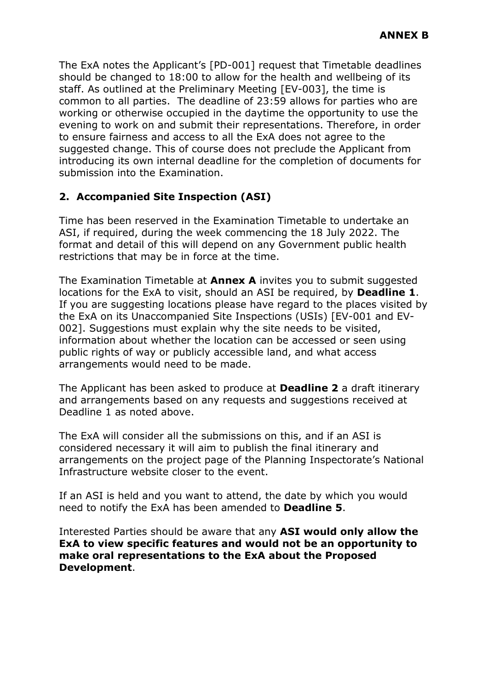The ExA notes the Applicant's [PD-001] request that Timetable deadlines should be changed to 18:00 to allow for the health and wellbeing of its staff. As outlined at the Preliminary Meeting [EV-003], the time is common to all parties. The deadline of 23:59 allows for parties who are working or otherwise occupied in the daytime the opportunity to use the evening to work on and submit their representations. Therefore, in order to ensure fairness and access to all the ExA does not agree to the suggested change. This of course does not preclude the Applicant from introducing its own internal deadline for the completion of documents for submission into the Examination.

# **2. Accompanied Site Inspection (ASI)**

Time has been reserved in the Examination Timetable to undertake an ASI, if required, during the week commencing the 18 July 2022. The format and detail of this will depend on any Government public health restrictions that may be in force at the time.

The Examination Timetable at **Annex A** invites you to submit suggested locations for the ExA to visit, should an ASI be required, by **Deadline 1**. If you are suggesting locations please have regard to the places visited by the ExA on its Unaccompanied Site Inspections (USIs) [EV-001 and EV-002]. Suggestions must explain why the site needs to be visited, information about whether the location can be accessed or seen using public rights of way or publicly accessible land, and what access arrangements would need to be made.

The Applicant has been asked to produce at **Deadline 2** a draft itinerary and arrangements based on any requests and suggestions received at Deadline 1 as noted above.

The ExA will consider all the submissions on this, and if an ASI is considered necessary it will aim to publish the final itinerary and arrangements on the project page of the Planning Inspectorate's National Infrastructure website closer to the event.

If an ASI is held and you want to attend, the date by which you would need to notify the ExA has been amended to **Deadline 5**.

Interested Parties should be aware that any **ASI would only allow the ExA to view specific features and would not be an opportunity to make oral representations to the ExA about the Proposed Development**.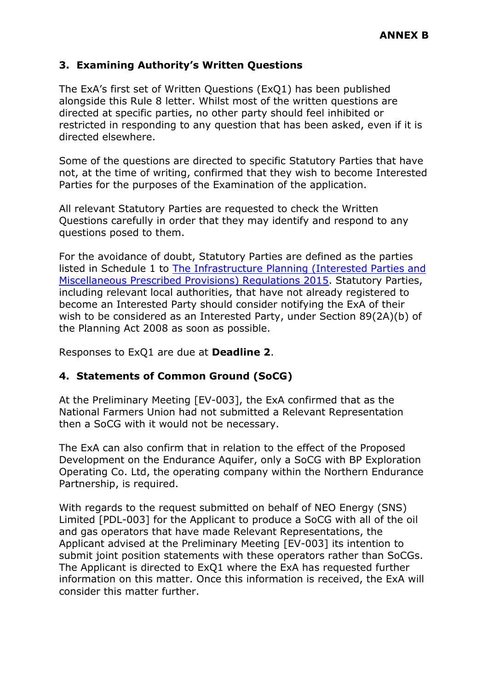## **3. Examining Authority's Written Questions**

The ExA's first set of Written Questions (ExQ1) has been published alongside this Rule 8 letter. Whilst most of the written questions are directed at specific parties, no other party should feel inhibited or restricted in responding to any question that has been asked, even if it is directed elsewhere.

Some of the questions are directed to specific Statutory Parties that have not, at the time of writing, confirmed that they wish to become Interested Parties for the purposes of the Examination of the application.

All relevant Statutory Parties are requested to check the Written Questions carefully in order that they may identify and respond to any questions posed to them.

For the avoidance of doubt, Statutory Parties are defined as the parties listed in Schedule 1 to [The Infrastructure Planning \(Interested Parties and](https://www.legislation.gov.uk/uksi/2015/462/contents/made)  [Miscellaneous Prescribed Provisions\) Regulations 2015.](https://www.legislation.gov.uk/uksi/2015/462/contents/made) Statutory Parties, including relevant local authorities, that have not already registered to become an Interested Party should consider notifying the ExA of their wish to be considered as an Interested Party, under Section 89(2A)(b) of the Planning Act 2008 as soon as possible.

Responses to ExQ1 are due at **Deadline 2**.

#### **4. Statements of Common Ground (SoCG)**

At the Preliminary Meeting [EV-003], the ExA confirmed that as the National Farmers Union had not submitted a Relevant Representation then a SoCG with it would not be necessary.

The ExA can also confirm that in relation to the effect of the Proposed Development on the Endurance Aquifer, only a SoCG with BP Exploration Operating Co. Ltd, the operating company within the Northern Endurance Partnership, is required.

With regards to the request submitted on behalf of NEO Energy (SNS) Limited [PDL-003] for the Applicant to produce a SoCG with all of the oil and gas operators that have made Relevant Representations, the Applicant advised at the Preliminary Meeting [EV-003] its intention to submit joint position statements with these operators rather than SoCGs. The Applicant is directed to ExQ1 where the ExA has requested further information on this matter. Once this information is received, the ExA will consider this matter further.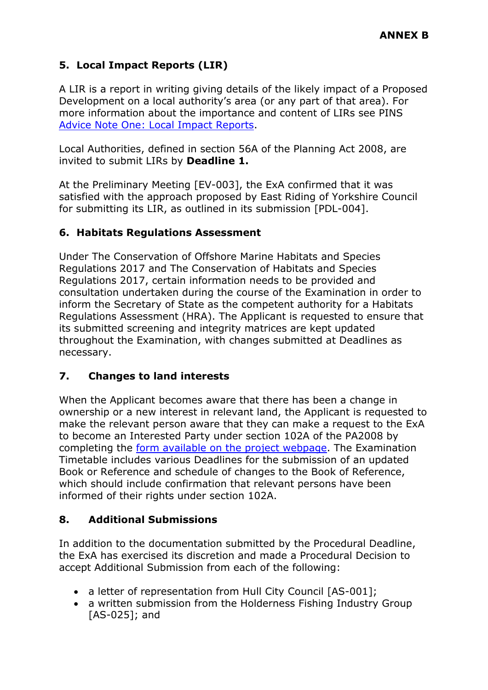# **5. Local Impact Reports (LIR)**

A LIR is a report in writing giving details of the likely impact of a Proposed Development on a local authority's area (or any part of that area). For more information about the importance and content of LIRs see PINS [Advice Note One: Local Impact Reports.](https://infrastructure.planninginspectorate.gov.uk/legislation-and-advice/advice-notes/advice-note-one-local-impact-reports/)

Local Authorities, defined in section 56A of the Planning Act 2008, are invited to submit LIRs by **Deadline 1.** 

At the Preliminary Meeting [EV-003], the ExA confirmed that it was satisfied with the approach proposed by East Riding of Yorkshire Council for submitting its LIR, as outlined in its submission [PDL-004].

# **6. Habitats Regulations Assessment**

Under The Conservation of Offshore Marine Habitats and Species Regulations 2017 and The Conservation of Habitats and Species Regulations 2017, certain information needs to be provided and consultation undertaken during the course of the Examination in order to inform the Secretary of State as the competent authority for a Habitats Regulations Assessment (HRA). The Applicant is requested to ensure that its submitted screening and integrity matrices are kept updated throughout the Examination, with changes submitted at Deadlines as necessary.

# **7. Changes to land interests**

When the Applicant becomes aware that there has been a change in ownership or a new interest in relevant land, the Applicant is requested to make the relevant person aware that they can make a request to the ExA to become an Interested Party under section 102A of the PA2008 by completing the [form available on the project webpage.](https://infrastructure.planninginspectorate.gov.uk/interested-party-frm.php?project=EN010098) The Examination Timetable includes various Deadlines for the submission of an updated Book or Reference and schedule of changes to the Book of Reference, which should include confirmation that relevant persons have been informed of their rights under section 102A.

# **8. Additional Submissions**

In addition to the documentation submitted by the Procedural Deadline, the ExA has exercised its discretion and made a Procedural Decision to accept Additional Submission from each of the following:

- a letter of representation from Hull City Council [AS-001];
- a written submission from the Holderness Fishing Industry Group [AS-025]; and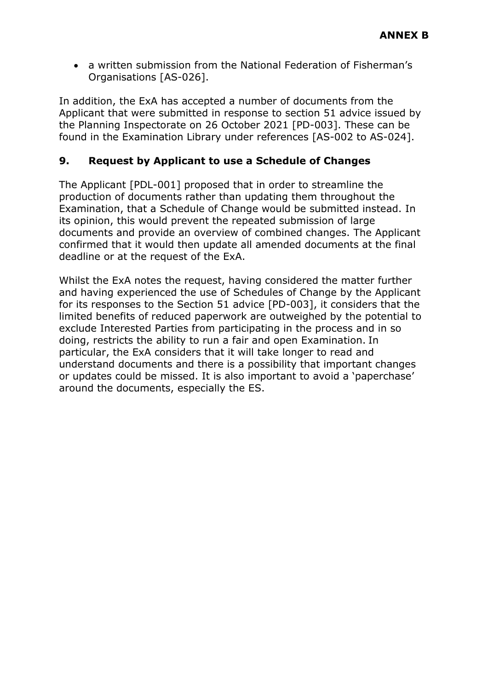• a written submission from the National Federation of Fisherman's Organisations [AS-026].

In addition, the ExA has accepted a number of documents from the Applicant that were submitted in response to section 51 advice issued by the Planning Inspectorate on 26 October 2021 [PD-003]. These can be found in the Examination Library under references [AS-002 to AS-024].

#### **9. Request by Applicant to use a Schedule of Changes**

The Applicant [PDL-001] proposed that in order to streamline the production of documents rather than updating them throughout the Examination, that a Schedule of Change would be submitted instead. In its opinion, this would prevent the repeated submission of large documents and provide an overview of combined changes. The Applicant confirmed that it would then update all amended documents at the final deadline or at the request of the ExA.

Whilst the ExA notes the request, having considered the matter further and having experienced the use of Schedules of Change by the Applicant for its responses to the Section 51 advice [PD-003], it considers that the limited benefits of reduced paperwork are outweighed by the potential to exclude Interested Parties from participating in the process and in so doing, restricts the ability to run a fair and open Examination. In particular, the ExA considers that it will take longer to read and understand documents and there is a possibility that important changes or updates could be missed. It is also important to avoid a 'paperchase' around the documents, especially the ES.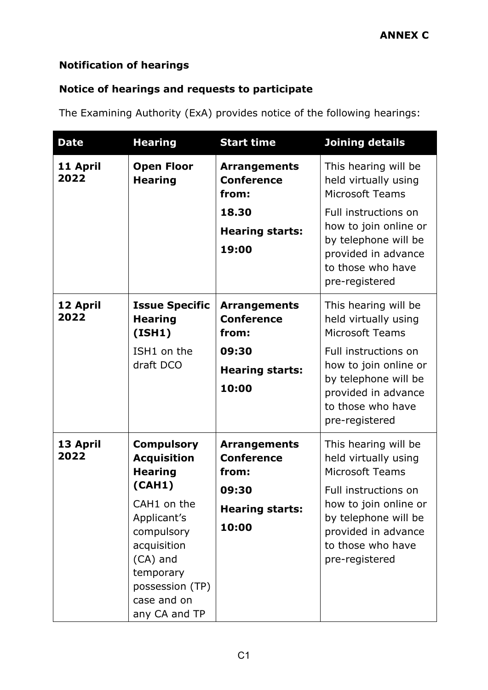# **Notification of hearings**

# **Notice of hearings and requests to participate**

The Examining Authority (ExA) provides notice of the following hearings:

| <b>Date</b>      | <b>Hearing</b>                                                                                                                                                                                             | <b>Start time</b>                                                                             | <b>Joining details</b>                                                                                                                                                                                        |
|------------------|------------------------------------------------------------------------------------------------------------------------------------------------------------------------------------------------------------|-----------------------------------------------------------------------------------------------|---------------------------------------------------------------------------------------------------------------------------------------------------------------------------------------------------------------|
| 11 April<br>2022 | <b>Open Floor</b><br><b>Hearing</b>                                                                                                                                                                        | <b>Arrangements</b><br><b>Conference</b><br>from:<br>18.30<br><b>Hearing starts:</b><br>19:00 | This hearing will be<br>held virtually using<br><b>Microsoft Teams</b><br>Full instructions on<br>how to join online or<br>by telephone will be<br>provided in advance<br>to those who have<br>pre-registered |
| 12 April<br>2022 | <b>Issue Specific</b><br><b>Hearing</b><br>(ISH1)<br>ISH1 on the<br>draft DCO                                                                                                                              | <b>Arrangements</b><br><b>Conference</b><br>from:<br>09:30<br><b>Hearing starts:</b><br>10:00 | This hearing will be<br>held virtually using<br><b>Microsoft Teams</b><br>Full instructions on<br>how to join online or<br>by telephone will be<br>provided in advance<br>to those who have<br>pre-registered |
| 13 April<br>2022 | <b>Compulsory</b><br><b>Acquisition</b><br><b>Hearing</b><br>(CAH1)<br>CAH1 on the<br>Applicant's<br>compulsory<br>acquisition<br>(CA) and<br>temporary<br>possession (TP)<br>case and on<br>any CA and TP | <b>Arrangements</b><br><b>Conference</b><br>from:<br>09:30<br><b>Hearing starts:</b><br>10:00 | This hearing will be<br>held virtually using<br><b>Microsoft Teams</b><br>Full instructions on<br>how to join online or<br>by telephone will be<br>provided in advance<br>to those who have<br>pre-registered |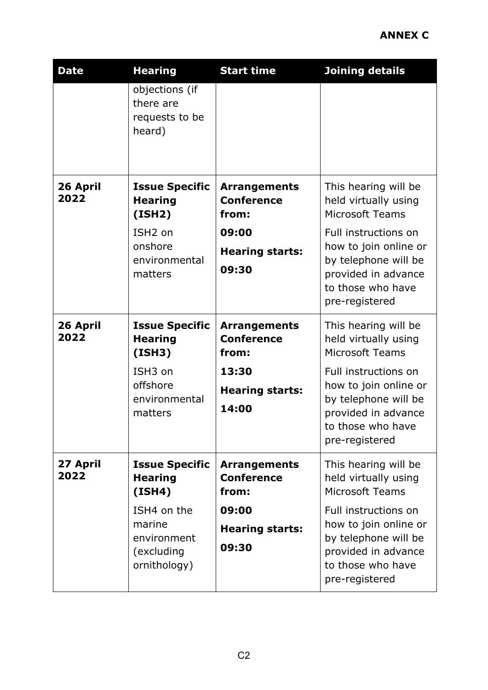| <b>Date</b>      | <b>Hearing</b>                                                                                                          | <b>Start time</b>                                                                             | <b>Joining details</b>                                                                                                                                                                                        |
|------------------|-------------------------------------------------------------------------------------------------------------------------|-----------------------------------------------------------------------------------------------|---------------------------------------------------------------------------------------------------------------------------------------------------------------------------------------------------------------|
|                  | objections (if<br>there are<br>requests to be<br>heard)                                                                 |                                                                                               |                                                                                                                                                                                                               |
| 26 April<br>2022 | <b>Issue Specific</b><br><b>Hearing</b><br>(ISH2)<br>ISH <sub>2</sub> on<br>onshore<br>environmental<br>matters         | <b>Arrangements</b><br><b>Conference</b><br>from:<br>09:00<br><b>Hearing starts:</b><br>09:30 | This hearing will be<br>held virtually using<br><b>Microsoft Teams</b><br>Full instructions on<br>how to join online or<br>by telephone will be<br>provided in advance<br>to those who have<br>pre-registered |
| 26 April<br>2022 | <b>Issue Specific</b><br><b>Hearing</b><br>(ISH3)<br>ISH <sub>3</sub> on<br>offshore<br>environmental<br>matters        | <b>Arrangements</b><br><b>Conference</b><br>from:<br>13:30<br><b>Hearing starts:</b><br>14:00 | This hearing will be<br>held virtually using<br><b>Microsoft Teams</b><br>Full instructions on<br>how to join online or<br>by telephone will be<br>provided in advance<br>to those who have<br>pre-registered |
| 27 April<br>2022 | <b>Issue Specific</b><br><b>Hearing</b><br>(ISH4)<br>ISH4 on the<br>marine<br>environment<br>(excluding<br>ornithology) | <b>Arrangements</b><br><b>Conference</b><br>from:<br>09:00<br><b>Hearing starts:</b><br>09:30 | This hearing will be<br>held virtually using<br><b>Microsoft Teams</b><br>Full instructions on<br>how to join online or<br>by telephone will be<br>provided in advance<br>to those who have<br>pre-registered |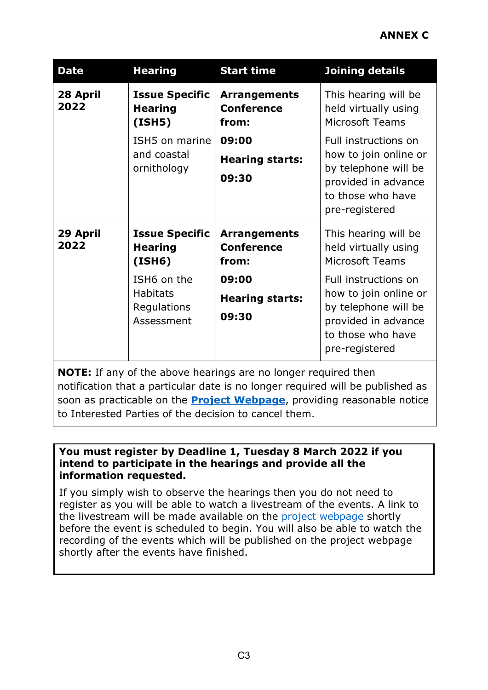# **ANNEX C**

| <b>Date</b>      | <b>Hearing</b>                                                                                                   | <b>Start time</b>                                                                             | <b>Joining details</b>                                                                                                                                                                                        |
|------------------|------------------------------------------------------------------------------------------------------------------|-----------------------------------------------------------------------------------------------|---------------------------------------------------------------------------------------------------------------------------------------------------------------------------------------------------------------|
| 28 April<br>2022 | <b>Issue Specific</b><br><b>Hearing</b><br>(ISH5)                                                                | <b>Arrangements</b><br><b>Conference</b><br>from:                                             | This hearing will be<br>held virtually using<br><b>Microsoft Teams</b>                                                                                                                                        |
|                  | ISH5 on marine<br>and coastal<br>ornithology                                                                     | 09:00<br><b>Hearing starts:</b><br>09:30                                                      | <b>Full instructions on</b><br>how to join online or<br>by telephone will be<br>provided in advance<br>to those who have<br>pre-registered                                                                    |
| 29 April<br>2022 | <b>Issue Specific</b><br><b>Hearing</b><br>(ISH6)<br>ISH6 on the<br><b>Habitats</b><br>Regulations<br>Assessment | <b>Arrangements</b><br><b>Conference</b><br>from:<br>09:00<br><b>Hearing starts:</b><br>09:30 | This hearing will be<br>held virtually using<br><b>Microsoft Teams</b><br>Full instructions on<br>how to join online or<br>by telephone will be<br>provided in advance<br>to those who have<br>pre-registered |

**NOTE:** If any of the above hearings are no longer required then notification that a particular date is no longer required will be published as soon as practicable on the **[Project Webpage](https://infrastructure.planninginspectorate.gov.uk/projects/yorkshire-and-the-humber/hornsea-project-four-offshore-wind-farm/?ipcsection=overview)**, providing reasonable notice to Interested Parties of the decision to cancel them.

#### **You must register by Deadline 1, Tuesday 8 March 2022 if you intend to participate in the hearings and provide all the information requested.**

If you simply wish to observe the hearings then you do not need to register as you will be able to watch a livestream of the events. A link to the livestream will be made available on the [project webpage](https://infrastructure.planninginspectorate.gov.uk/projects/yorkshire-and-the-humber/hornsea-project-four-offshore-wind-farm/?ipcsection=overview) shortly before the event is scheduled to begin. You will also be able to watch the recording of the events which will be published on the project webpage shortly after the events have finished.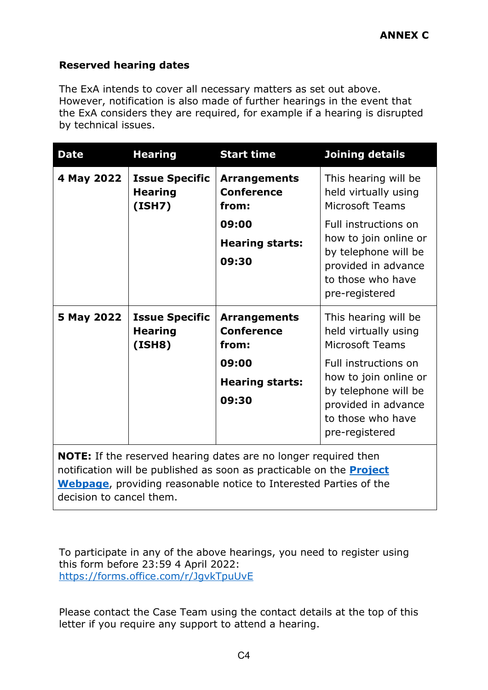# **Reserved hearing dates**

The ExA intends to cover all necessary matters as set out above. However, notification is also made of further hearings in the event that the ExA considers they are required, for example if a hearing is disrupted by technical issues.

| <b>Date</b> | <b>Hearing</b>                                    | <b>Start time</b>                                                                             | Joining details                                                                                                                                                                                               |
|-------------|---------------------------------------------------|-----------------------------------------------------------------------------------------------|---------------------------------------------------------------------------------------------------------------------------------------------------------------------------------------------------------------|
| 4 May 2022  | <b>Issue Specific</b><br><b>Hearing</b><br>(ISH7) | <b>Arrangements</b><br><b>Conference</b><br>from:<br>09:00<br><b>Hearing starts:</b><br>09:30 | This hearing will be<br>held virtually using<br><b>Microsoft Teams</b><br>Full instructions on<br>how to join online or<br>by telephone will be<br>provided in advance<br>to those who have<br>pre-registered |
| 5 May 2022  | <b>Issue Specific</b><br><b>Hearing</b><br>(ISH8) | <b>Arrangements</b><br><b>Conference</b><br>from:<br>09:00<br><b>Hearing starts:</b><br>09:30 | This hearing will be<br>held virtually using<br><b>Microsoft Teams</b><br>Full instructions on<br>how to join online or<br>by telephone will be<br>provided in advance<br>to those who have<br>pre-registered |

**NOTE:** If the reserved hearing dates are no longer required then notification will be published as soon as practicable on the **[Project](https://infrastructure.planninginspectorate.gov.uk/projects/yorkshire-and-the-humber/hornsea-project-four-offshore-wind-farm/?ipcsection=overview)  [Webpage](https://infrastructure.planninginspectorate.gov.uk/projects/yorkshire-and-the-humber/hornsea-project-four-offshore-wind-farm/?ipcsection=overview)**, providing reasonable notice to Interested Parties of the decision to cancel them.

To participate in any of the above hearings, you need to register using this form before 23:59 4 April 2022: <https://forms.office.com/r/JgvkTpuUvE>

Please contact the Case Team using the contact details at the top of this letter if you require any support to attend a hearing.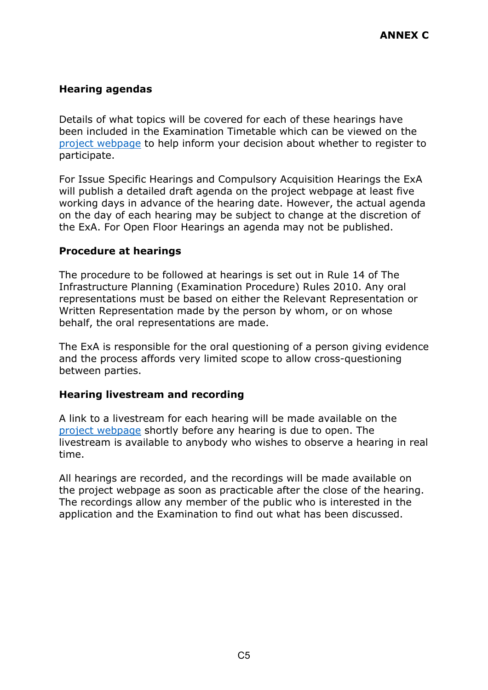# **Hearing agendas**

Details of what topics will be covered for each of these hearings have been included in the Examination Timetable which can be viewed on the [project webpage](https://infrastructure.planninginspectorate.gov.uk/projects/yorkshire-and-the-humber/hornsea-project-four-offshore-wind-farm/?ipcsection=overview) to help inform your decision about whether to register to participate.

For Issue Specific Hearings and Compulsory Acquisition Hearings the ExA will publish a detailed draft agenda on the project webpage at least five working days in advance of the hearing date. However, the actual agenda on the day of each hearing may be subject to change at the discretion of the ExA. For Open Floor Hearings an agenda may not be published.

#### **Procedure at hearings**

The procedure to be followed at hearings is set out in Rule 14 of The Infrastructure Planning (Examination Procedure) Rules 2010. Any oral representations must be based on either the Relevant Representation or Written Representation made by the person by whom, or on whose behalf, the oral representations are made.

The ExA is responsible for the oral questioning of a person giving evidence and the process affords very limited scope to allow cross-questioning between parties.

#### **Hearing livestream and recording**

A link to a livestream for each hearing will be made available on the [project webpage](https://infrastructure.planninginspectorate.gov.uk/projects/yorkshire-and-the-humber/hornsea-project-four-offshore-wind-farm/?ipcsection=overview) shortly before any hearing is due to open. The livestream is available to anybody who wishes to observe a hearing in real time.

All hearings are recorded, and the recordings will be made available on the project webpage as soon as practicable after the close of the hearing. The recordings allow any member of the public who is interested in the application and the Examination to find out what has been discussed.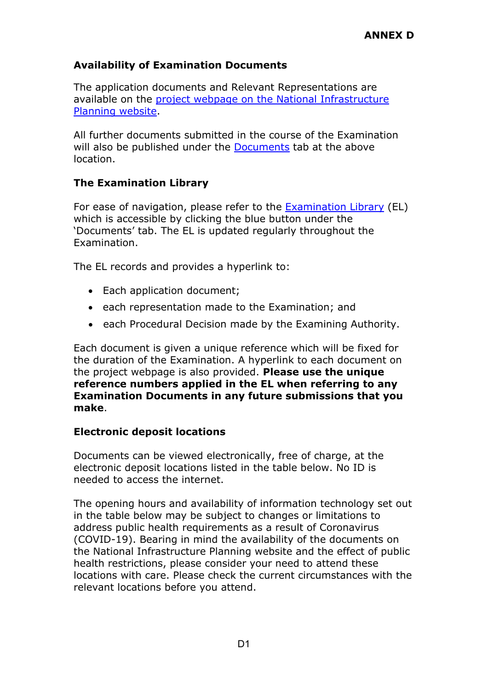## **Availability of Examination Documents**

The application documents and Relevant Representations are available on the [project webpage on the National Infrastructure](https://infrastructure.planninginspectorate.gov.uk/projects/yorkshire-and-the-humber/hornsea-project-four-offshore-wind-farm-generating-stations/?ipcsection=overview)  [Planning website.](https://infrastructure.planninginspectorate.gov.uk/projects/yorkshire-and-the-humber/hornsea-project-four-offshore-wind-farm-generating-stations/?ipcsection=overview)

All further documents submitted in the course of the Examination will also be published under the [Documents](https://infrastructure.planninginspectorate.gov.uk/projects/yorkshire-and-the-humber/hornsea-project-four-offshore-wind-farm-generating-stations/?ipcsection=docs) tab at the above location.

### **The Examination Library**

For ease of navigation, please refer to the [Examination Library](https://infrastructure.planninginspectorate.gov.uk/wp-content/ipc/uploads/projects/EN010098/EN010098-000837-Hornsea%20Project%20Four%20Offshore%20Wind%20Farm%20Examination%20Library.pdf) (EL) which is accessible by clicking the blue button under the 'Documents' tab. The EL is updated regularly throughout the Examination.

The EL records and provides a hyperlink to:

- Each application document;
- each representation made to the Examination; and
- each Procedural Decision made by the Examining Authority.

Each document is given a unique reference which will be fixed for the duration of the Examination. A hyperlink to each document on the project webpage is also provided. **Please use the unique reference numbers applied in the EL when referring to any Examination Documents in any future submissions that you make**.

#### **Electronic deposit locations**

Documents can be viewed electronically, free of charge, at the electronic deposit locations listed in the table below. No ID is needed to access the internet.

The opening hours and availability of information technology set out in the table below may be subject to changes or limitations to address public health requirements as a result of Coronavirus (COVID-19). Bearing in mind the availability of the documents on the National Infrastructure Planning website and the effect of public health restrictions, please consider your need to attend these locations with care. Please check the current circumstances with the relevant locations before you attend.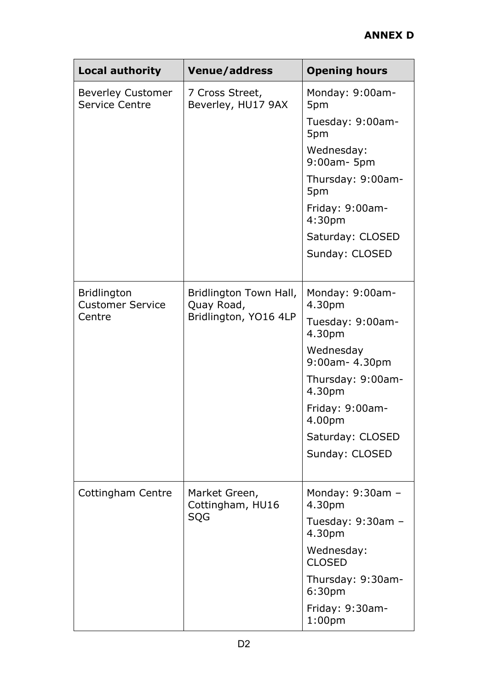| <b>Local authority</b>                                  | <b>Venue/address</b>                                          | <b>Opening hours</b>                    |
|---------------------------------------------------------|---------------------------------------------------------------|-----------------------------------------|
| <b>Beverley Customer</b><br><b>Service Centre</b>       | 7 Cross Street,<br>Beverley, HU17 9AX                         | Monday: 9:00am-<br>5pm                  |
|                                                         |                                                               | Tuesday: 9:00am-<br>5pm                 |
|                                                         |                                                               | Wednesday:<br>9:00am- 5pm               |
|                                                         |                                                               | Thursday: 9:00am-<br>5pm                |
|                                                         |                                                               | Friday: 9:00am-<br>4:30pm               |
|                                                         |                                                               | Saturday: CLOSED                        |
|                                                         |                                                               | Sunday: CLOSED                          |
| <b>Bridlington</b><br><b>Customer Service</b><br>Centre | Bridlington Town Hall,<br>Quay Road,<br>Bridlington, YO16 4LP | Monday: 9:00am-<br>4.30pm               |
|                                                         |                                                               | Tuesday: 9:00am-<br>4.30pm              |
|                                                         |                                                               | Wednesday<br>9:00am- 4.30pm             |
|                                                         |                                                               | Thursday: 9:00am-<br>4.30pm             |
|                                                         |                                                               | Friday: 9:00am-<br>4.00pm               |
|                                                         |                                                               | Saturday: CLOSED                        |
|                                                         |                                                               | Sunday: CLOSED                          |
| Cottingham Centre                                       | Market Green,<br>Cottingham, HU16<br>SQG                      | Monday: $9:30$ am -<br>4.30pm           |
|                                                         |                                                               | Tuesday: 9:30am -<br>4.30pm             |
|                                                         |                                                               | Wednesday:<br><b>CLOSED</b>             |
|                                                         |                                                               | Thursday: 9:30am-<br>6:30 <sub>pm</sub> |
|                                                         |                                                               | Friday: 9:30am-<br>1:00 <sub>pm</sub>   |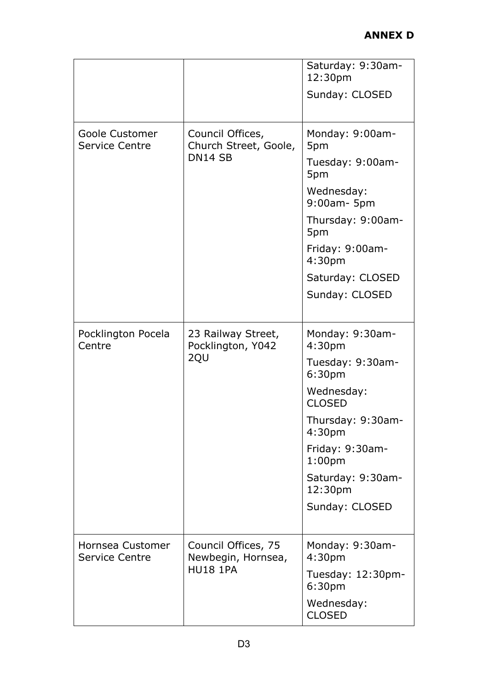|                                           |                                                                  | Saturday: 9:30am-<br>12:30pm<br>Sunday: CLOSED |
|-------------------------------------------|------------------------------------------------------------------|------------------------------------------------|
|                                           |                                                                  |                                                |
| Goole Customer<br><b>Service Centre</b>   | Council Offices,<br>Church Street, Goole,<br>DN <sub>14</sub> SB | Monday: 9:00am-<br>5pm                         |
|                                           |                                                                  | Tuesday: 9:00am-<br>5pm                        |
|                                           |                                                                  | Wednesday:<br>9:00am- 5pm                      |
|                                           |                                                                  | Thursday: 9:00am-<br>5pm                       |
|                                           |                                                                  | Friday: 9:00am-<br>4:30pm                      |
|                                           |                                                                  | Saturday: CLOSED                               |
|                                           |                                                                  | Sunday: CLOSED                                 |
| Pocklington Pocela<br>Centre              | 23 Railway Street,<br>Pocklington, Y042<br>2QU                   | Monday: 9:30am-<br>4:30pm                      |
|                                           |                                                                  | Tuesday: 9:30am-<br>6:30pm                     |
|                                           |                                                                  | Wednesday:<br><b>CLOSED</b>                    |
|                                           |                                                                  | Thursday: 9:30am-<br>4:30 <sub>pm</sub>        |
|                                           |                                                                  | Friday: 9:30am-<br>1:00 <sub>pm</sub>          |
|                                           |                                                                  | Saturday: 9:30am-<br>12:30pm                   |
|                                           |                                                                  | Sunday: CLOSED                                 |
| Hornsea Customer<br><b>Service Centre</b> | Council Offices, 75<br>Newbegin, Hornsea,<br><b>HU18 1PA</b>     | Monday: 9:30am-<br>4:30pm                      |
|                                           |                                                                  | Tuesday: 12:30pm-<br>6:30pm                    |
|                                           |                                                                  | Wednesday:<br><b>CLOSED</b>                    |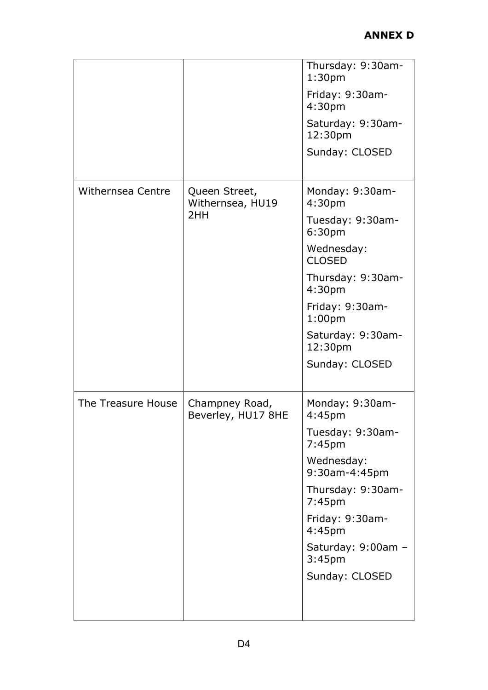|                    |                                          | Thursday: 9:30am-<br>1:30 <sub>pm</sub><br>Friday: 9:30am-<br>4:30pm<br>Saturday: 9:30am-<br>12:30pm<br>Sunday: CLOSED                                                                                                       |
|--------------------|------------------------------------------|------------------------------------------------------------------------------------------------------------------------------------------------------------------------------------------------------------------------------|
| Withernsea Centre  | Queen Street,<br>Withernsea, HU19<br>2HH | Monday: 9:30am-<br>4:30pm<br>Tuesday: 9:30am-<br>6:30pm<br>Wednesday:<br><b>CLOSED</b><br>Thursday: 9:30am-<br>4:30pm<br>Friday: 9:30am-<br>1:00 <sub>pm</sub><br>Saturday: 9:30am-<br>12:30pm<br>Sunday: CLOSED             |
| The Treasure House | Champney Road,<br>Beverley, HU17 8HE     | Monday: 9:30am-<br>4:45 <sub>pm</sub><br>Tuesday: 9:30am-<br>7:45pm<br>Wednesday:<br>9:30am-4:45pm<br>Thursday: 9:30am-<br>7:45pm<br>Friday: 9:30am-<br>4:45pm<br>Saturday: 9:00am -<br>3:45 <sub>pm</sub><br>Sunday: CLOSED |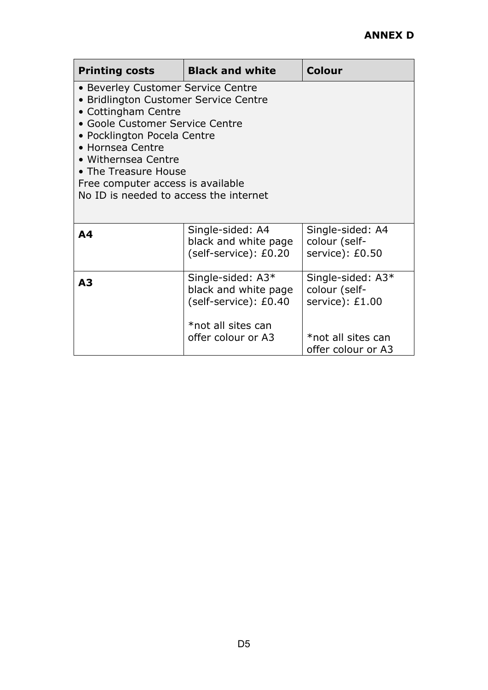| <b>Printing costs</b>                                                                                                                                                                                                                                                                                                  | <b>Black and white</b>                                             | <b>Colour</b>                                         |  |  |
|------------------------------------------------------------------------------------------------------------------------------------------------------------------------------------------------------------------------------------------------------------------------------------------------------------------------|--------------------------------------------------------------------|-------------------------------------------------------|--|--|
| • Beverley Customer Service Centre<br>• Bridlington Customer Service Centre<br>• Cottingham Centre<br>• Goole Customer Service Centre<br>• Pocklington Pocela Centre<br>• Hornsea Centre<br>• Withernsea Centre<br>• The Treasure House<br>Free computer access is available<br>No ID is needed to access the internet |                                                                    |                                                       |  |  |
| A4                                                                                                                                                                                                                                                                                                                     | Single-sided: A4<br>black and white page<br>(self-service): £0.20  | Single-sided: A4<br>colour (self-<br>service): £0.50  |  |  |
| A <sub>3</sub>                                                                                                                                                                                                                                                                                                         | Single-sided: A3*<br>black and white page<br>(self-service): £0.40 | Single-sided: A3*<br>colour (self-<br>service): £1.00 |  |  |
|                                                                                                                                                                                                                                                                                                                        | *not all sites can<br>offer colour or A3                           | *not all sites can<br>offer colour or A3              |  |  |